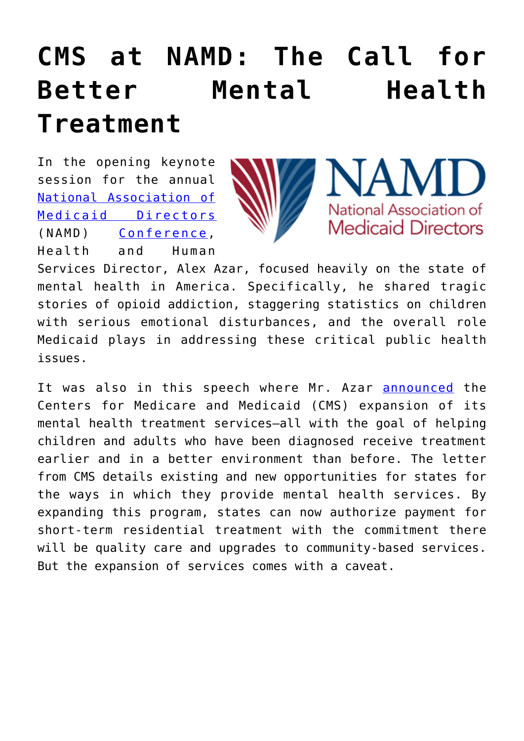## **[CMS at NAMD: The Call for](https://www.cns-inc.com/insights/thought-leadership/cms-at-namd-the-call-for-better-mental-health-treatment/) [Better Mental Health](https://www.cns-inc.com/insights/thought-leadership/cms-at-namd-the-call-for-better-mental-health-treatment/) [Treatment](https://www.cns-inc.com/insights/thought-leadership/cms-at-namd-the-call-for-better-mental-health-treatment/)**

In the opening keynote session for the annual [National Association of](https://medicaiddirectors.org/) [Medicaid Directors](https://medicaiddirectors.org/) (NAMD) [Conference](https://medicaiddirectors.org/2018-fall-conference/), Health and Human



NAMD National Association of **Medicaid Directors** 

Services Director, Alex Azar, focused heavily on the state of mental health in America. Specifically, he shared tragic stories of opioid addiction, staggering statistics on children with serious emotional disturbances, and the overall role Medicaid plays in addressing these critical public health issues.

It was also in this speech where Mr. Azar **[announced](https://www.cms.gov/newsroom/press-releases/cms-announces-new-medicaid-demonstration-opportunity-expand-mental-health-treatment-services)** the Centers for Medicare and Medicaid (CMS) expansion of its mental health treatment services—all with the goal of helping children and adults who have been diagnosed receive treatment earlier and in a better environment than before. The letter from CMS details existing and new opportunities for states for the ways in which they provide mental health services. By expanding this program, states can now authorize payment for short-term residential treatment with the commitment there will be quality care and upgrades to community-based services. But the expansion of services comes with a caveat.